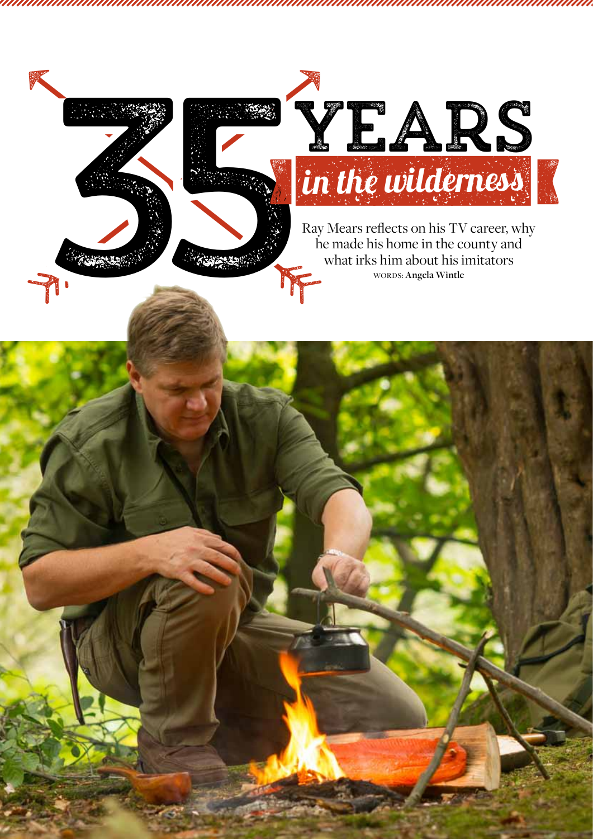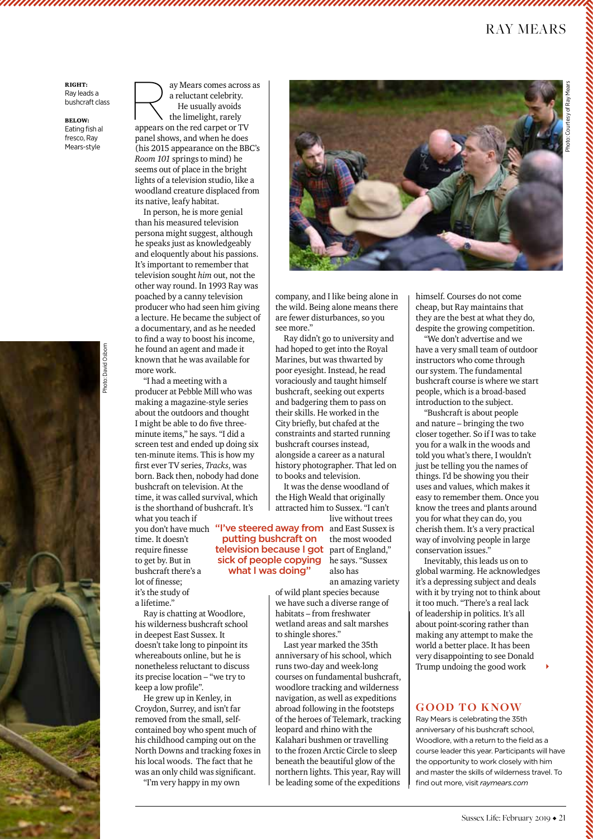## ray mears

Right: Ray leads a bushcraft class

Below: Eating fish al fresco, Ray Mears-style

ay Mears comes across as a reluctant celebrity. He usually avoids the limelight, rarely

appears on the red carpet or TV panel shows, and when he does (his 2015 appearance on the BBC's *Room 101* springs to mind) he seems out of place in the bright lights of a television studio, like a woodland creature displaced from its native, leafy habitat.

In person, he is more genial than his measured television persona might suggest, although he speaks just as knowledgeably and eloquently about his passions. It's important to remember that television sought *him* out, not the other way round. In 1993 Ray was poached by a canny television producer who had seen him giving a lecture. He became the subject of a documentary, and as he needed to find a way to boost his income, he found an agent and made it known that he was available for more work.

"I had a meeting with a producer at Pebble Mill who was making a magazine-style series about the outdoors and thought I might be able to do five threeminute items," he says. "I did a screen test and ended up doing six ten-minute items. This is how my first ever TV series, *Tracks*, was born. Back then, nobody had done bushcraft on television. At the time, it was called survival, which is the shorthand of bushcraft. It's

you don't have much "I've steered away from and East Sussex is what you teach if time. It doesn't require finesse to get by. But in bushcraft there's a lot of finesse; it's the study of a lifetime."

Ray is chatting at Woodlore, his wilderness bushcraft school in deepest East Sussex. It doesn't take long to pinpoint its whereabouts online, but he is nonetheless reluctant to discuss its precise location – "we try to keep a low profile".

He grew up in Kenley, in Croydon, Surrey, and isn't far removed from the small, selfcontained boy who spent much of his childhood camping out on the North Downs and tracking foxes in his local woods. The fact that he was an only child was significant. "I'm very happy in my own



company, and I like being alone in the wild. Being alone means there are fewer disturbances, so you see more."

Ray didn't go to university and had hoped to get into the Royal Marines, but was thwarted by poor eyesight. Instead, he read voraciously and taught himself bushcraft, seeking out experts and badgering them to pass on their skills. He worked in the City briefly, but chafed at the constraints and started running bushcraft courses instead, alongside a career as a natural history photographer. That led on to books and television.

It was the dense woodland of the High Weald that originally attracted him to Sussex. "I can't live without trees

putting bushcraft on

what I was doing"

the most wooded television because I got part of England," sick of people copying he says. "Sussex also has an amazing variety

of wild plant species because we have such a diverse range of habitats – from freshwater wetland areas and salt marshes to shingle shores."

Last year marked the 35th anniversary of his school, which runs two-day and week-long courses on fundamental bushcraft, woodlore tracking and wilderness navigation, as well as expeditions abroad following in the footsteps of the heroes of Telemark, tracking leopard and rhino with the Kalahari bushmen or travelling to the frozen Arctic Circle to sleep beneath the beautiful glow of the northern lights. This year, Ray will be leading some of the expeditions

himself. Courses do not come cheap, but Ray maintains that they are the best at what they do, despite the growing competition.

"We don't advertise and we have a very small team of outdoor instructors who come through our system. The fundamental bushcraft course is where we start people, which is a broad-based introduction to the subject.

"Bushcraft is about people and nature – bringing the two closer together. So if I was to take you for a walk in the woods and told you what's there, I wouldn't just be telling you the names of things. I'd be showing you their uses and values, which makes it easy to remember them. Once you know the trees and plants around you for what they can do, you cherish them. It's a very practical way of involving people in large conservation issues."

Inevitably, this leads us on to global warming. He acknowledges it's a depressing subject and deals with it by trying not to think about it too much. "There's a real lack of leadership in politics. It's all about point-scoring rather than making any attempt to make the world a better place. It has been very disappointing to see Donald Trump undoing the good work

## **GOOD TO KNOW**

Ray Mears is celebrating the 35th anniversary of his bushcraft school, Woodlore, with a return to the field as a course leader this year. Participants will have the opportunity to work closely with him and master the skills of wilderness travel. To find out more, visit *raymears.com*

Photo: David Osborn Photo: David Osborn



 $\blacktriangleright$